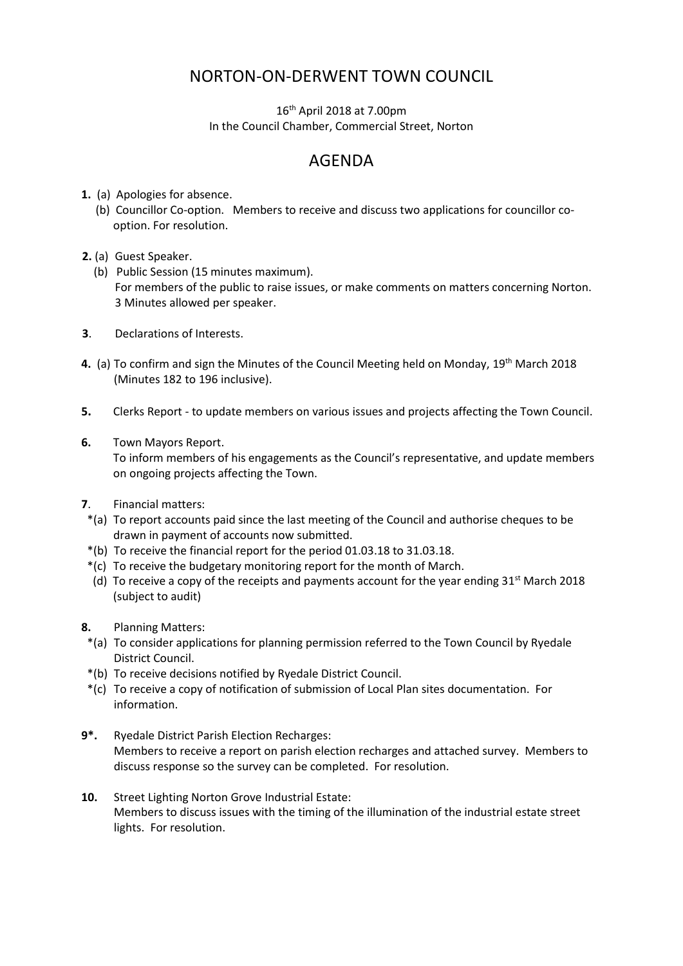## NORTON-ON-DERWENT TOWN COUNCIL

16th April 2018 at 7.00pm In the Council Chamber, Commercial Street, Norton

## AGENDA

- **1.** (a) Apologies for absence.
	- (b) Councillor Co-option. Members to receive and discuss two applications for councillor cooption. For resolution.
- **2.** (a) Guest Speaker.
	- (b) Public Session (15 minutes maximum). For members of the public to raise issues, or make comments on matters concerning Norton. 3 Minutes allowed per speaker.
- **3**. Declarations of Interests.
- **4.** (a) To confirm and sign the Minutes of the Council Meeting held on Monday, 19th March 2018 (Minutes 182 to 196 inclusive).
- **5.** Clerks Report to update members on various issues and projects affecting the Town Council.
- **6.** Town Mayors Report.

 To inform members of his engagements as the Council's representative, and update members on ongoing projects affecting the Town.

- **7**. Financial matters:
- \*(a) To report accounts paid since the last meeting of the Council and authorise cheques to be drawn in payment of accounts now submitted.
- \*(b) To receive the financial report for the period 01.03.18 to 31.03.18.
- \*(c) To receive the budgetary monitoring report for the month of March.
- (d) To receive a copy of the receipts and payments account for the year ending  $31^{st}$  March 2018 (subject to audit)
- **8.** Planning Matters:
	- \*(a) To consider applications for planning permission referred to the Town Council by Ryedale District Council.
	- \*(b) To receive decisions notified by Ryedale District Council.
	- \*(c) To receive a copy of notification of submission of Local Plan sites documentation. For information.
- **9\*.** Ryedale District Parish Election Recharges: Members to receive a report on parish election recharges and attached survey. Members to discuss response so the survey can be completed. For resolution.
- **10.** Street Lighting Norton Grove Industrial Estate: Members to discuss issues with the timing of the illumination of the industrial estate street lights. For resolution.